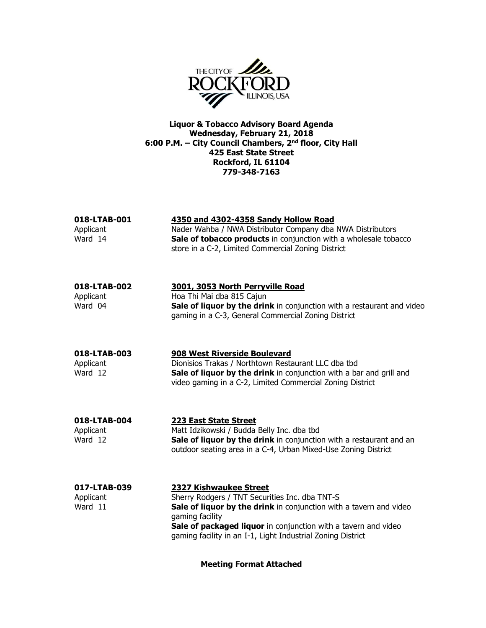

Liquor & Tobacco Advisory Board Agenda Wednesday, February 21, 2018 6:00 P.M. – City Council Chambers, 2<sup>nd</sup> floor, City Hall 425 East State Street Rockford, IL 61104 779-348-7163

| 018-LTAB-001<br>Applicant<br>Ward 14 | 4350 and 4302-4358 Sandy Hollow Road<br>Nader Wahba / NWA Distributor Company dba NWA Distributors<br>Sale of tobacco products in conjunction with a wholesale tobacco<br>store in a C-2, Limited Commercial Zoning District                                                                       |
|--------------------------------------|----------------------------------------------------------------------------------------------------------------------------------------------------------------------------------------------------------------------------------------------------------------------------------------------------|
| 018-LTAB-002<br>Applicant<br>Ward 04 | 3001, 3053 North Perryville Road<br>Hoa Thi Mai dba 815 Cajun<br>Sale of liquor by the drink in conjunction with a restaurant and video<br>gaming in a C-3, General Commercial Zoning District                                                                                                     |
| 018-LTAB-003<br>Applicant<br>Ward 12 | 908 West Riverside Boulevard<br>Dionisios Trakas / Northtown Restaurant LLC dba tbd<br>Sale of liquor by the drink in conjunction with a bar and grill and<br>video gaming in a C-2, Limited Commercial Zoning District                                                                            |
| 018-LTAB-004<br>Applicant<br>Ward 12 | 223 East State Street<br>Matt Idzikowski / Budda Belly Inc. dba tbd<br>Sale of liquor by the drink in conjunction with a restaurant and an<br>outdoor seating area in a C-4, Urban Mixed-Use Zoning District                                                                                       |
| 017-LTAB-039<br>Applicant<br>Ward 11 | 2327 Kishwaukee Street<br>Sherry Rodgers / TNT Securities Inc. dba TNT-S<br>Sale of liquor by the drink in conjunction with a tavern and video<br>gaming facility<br>Sale of packaged liquor in conjunction with a tavern and video<br>gaming facility in an I-1, Light Industrial Zoning District |

Meeting Format Attached